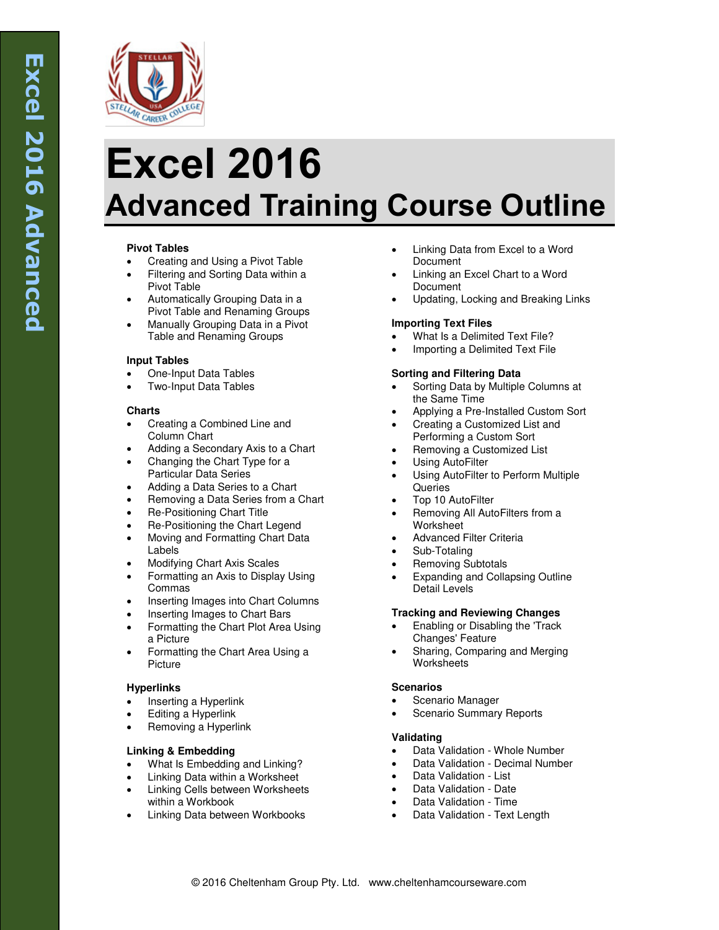

# **Excel 2016 Advanced Training Course Outline**

# **Pivot Tables**

- Creating and Using a Pivot Table
- Filtering and Sorting Data within a Pivot Table
- Automatically Grouping Data in a Pivot Table and Renaming Groups
- Manually Grouping Data in a Pivot Table and Renaming Groups

## **Input Tables**

- One-Input Data Tables
- Two-Input Data Tables

## **Charts**

- Creating a Combined Line and Column Chart
- Adding a Secondary Axis to a Chart
- Changing the Chart Type for a Particular Data Series
- Adding a Data Series to a Chart
- Removing a Data Series from a Chart
- Re-Positioning Chart Title
- Re-Positioning the Chart Legend
- Moving and Formatting Chart Data Labels
- Modifying Chart Axis Scales
- Formatting an Axis to Display Using Commas
- Inserting Images into Chart Columns
- Inserting Images to Chart Bars
- Formatting the Chart Plot Area Using a Picture
- Formatting the Chart Area Using a Picture

# **Hyperlinks**

- Inserting a Hyperlink
- Editing a Hyperlink
- Removing a Hyperlink

# **Linking & Embedding**

- What Is Embedding and Linking?
- Linking Data within a Worksheet
- Linking Cells between Worksheets within a Workbook
- Linking Data between Workbooks
- Linking Data from Excel to a Word Document
- Linking an Excel Chart to a Word **Document**
- Updating, Locking and Breaking Links

# **Importing Text Files**

- What Is a Delimited Text File?
- Importing a Delimited Text File

## **Sorting and Filtering Data**

- Sorting Data by Multiple Columns at the Same Time
- Applying a Pre-Installed Custom Sort
- Creating a Customized List and Performing a Custom Sort
- Removing a Customized List
- Using AutoFilter
- Using AutoFilter to Perform Multiple **Queries**
- Top 10 AutoFilter
- Removing All AutoFilters from a Worksheet
- Advanced Filter Criteria
- Sub-Totaling
- Removing Subtotals
- Expanding and Collapsing Outline Detail Levels

# **Tracking and Reviewing Changes**

- Enabling or Disabling the 'Track Changes' Feature
- Sharing, Comparing and Merging **Worksheets**

## **Scenarios**

- Scenario Manager
- Scenario Summary Reports

## **Validating**

- Data Validation Whole Number
- Data Validation Decimal Number
- Data Validation List
- Data Validation Date
- Data Validation Time
- Data Validation Text Length